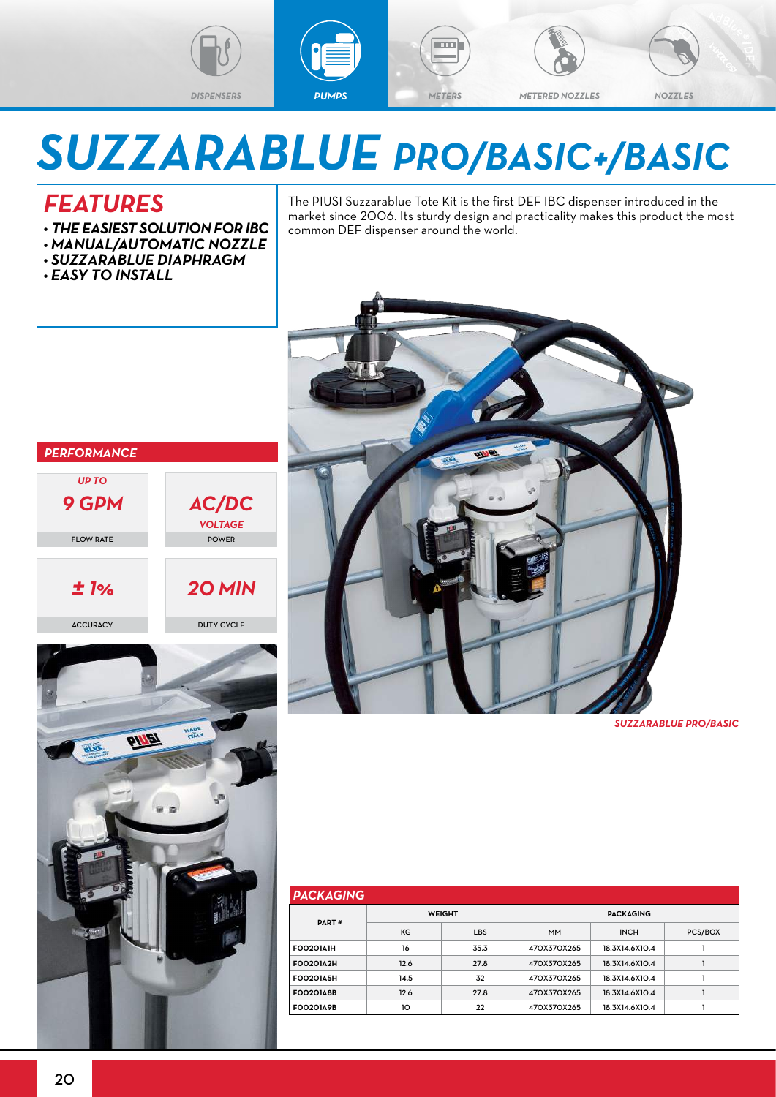

## *SUZZARABLUE PRO/BASIC+/BASIC*

## *FEATURES*

*• THE EASIEST SOLUTION FOR IBC*

*AC/DC VOLTAGE* POWER

- *• MANUAL/AUTOMATIC NOZZLE*
- *• SUZZARABLUE DIAPHRAGM*
- *• EASY TO INSTALL*

*PERFORMANCE*

*UP TO 9 GPM*

FLOW RATE

The PIUSI Suzzarablue Tote Kit is the first DEF IBC dispenser introduced in the market since 2006. Its sturdy design and practicality makes this product the most common DEF dispenser around the world.



*SUZZARABLUE PRO/BASIC*

| <b>PACKAGING</b> |      |               |                  |                |         |  |  |  |  |  |
|------------------|------|---------------|------------------|----------------|---------|--|--|--|--|--|
| PART#            |      | <b>WEIGHT</b> | <b>PACKAGING</b> |                |         |  |  |  |  |  |
|                  | KG   | <b>LBS</b>    | <b>MM</b>        | <b>INCH</b>    | PCS/BOX |  |  |  |  |  |
| <b>FOO20141H</b> | 16   | 35.3          | 470X370X265      | 18.3X14.6X10.4 |         |  |  |  |  |  |
| <b>FOO20142H</b> | 12.6 | 27.8          | 470X370X265      | 18.3X14.6X10.4 |         |  |  |  |  |  |
| <b>FOO20145H</b> | 14.5 | 32            | 470X370X265      | 18.3X14.6X10.4 |         |  |  |  |  |  |
| <b>FOO2O148B</b> | 12.6 | 27.8          | 470X370X265      | 18.3X14.6X10.4 |         |  |  |  |  |  |
| <b>FOO2O149B</b> | 10   | 22            | 470X370X265      | 18.3X14.6X10.4 |         |  |  |  |  |  |